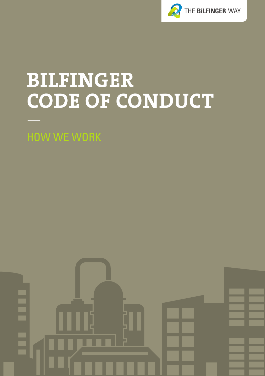

## **BILFINGER CODE OF CONDUCT**

HOW WE WORK

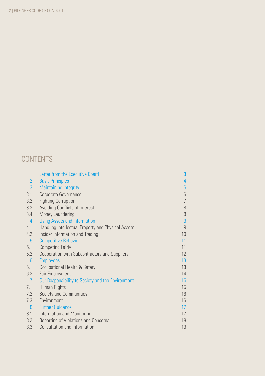#### **CONTENTS**

| $\mathbf{1}$    | Letter from the Executive Board                    | 3              |
|-----------------|----------------------------------------------------|----------------|
| $\overline{2}$  | <b>Basic Principles</b>                            | 4              |
| 3               | <b>Maintaining Integrity</b>                       | 6              |
| 3.1             | Corporate Governance                               | 6              |
| 3.2             | <b>Fighting Corruption</b>                         | $\overline{7}$ |
| 3.3             | Avoiding Conflicts of Interest                     | 8              |
| 3.4             | Money Laundering                                   | 8              |
| $\overline{4}$  | <b>Using Assets and Information</b>                | 9              |
| 4.1             | Handling Intellectual Property and Physical Assets | 9              |
| 4.2             | Insider Information and Trading                    | 10             |
| 5               | <b>Competitive Behavior</b>                        | 11             |
| 5.1             | <b>Competing Fairly</b>                            | 11             |
| 5.2             | Cooperation with Subcontractors and Suppliers      | 12             |
| $6\phantom{1}6$ | <b>Employees</b>                                   | 13             |
| 6.1             | Occupational Health & Safety                       | 13             |
| 6.2             | Fair Employment                                    | 14             |
| $\overline{7}$  | Our Responsibility to Society and the Environment  | 15             |
| 7.1             | Human Rights                                       | 15             |
| 7.2             | Society and Communities                            | 16             |
| 7.3             | Environment                                        | 16             |
| 8               | <b>Further Guidance</b>                            | 17             |
| 8.1             | Information and Monitoring                         | 17             |
| 8.2             | Reporting of Violations and Concerns               | 18             |
| 8.3             | <b>Consultation and Information</b>                | 19             |
|                 |                                                    |                |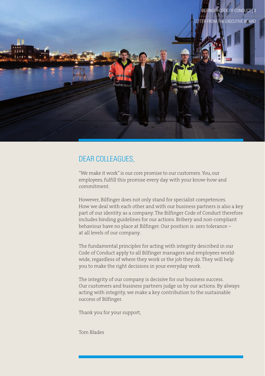

#### DEAR COLLEAGUES,

"We make it work" is our core promise to our customers. You, our employees, fulfill this promise every day with your know-how and commitment.

However, Bilfinger does not only stand for specialist competences. How we deal with each other and with our business partners is also a key part of our identity as a company. The Bilfinger Code of Conduct therefore includes binding guidelines for our actions. Bribery and non-compliant behaviour have no place at Bilfinger. Our position is: zero tolerance – at all levels of our company.

The fundamental principles for acting with integrity described in our Code of Conduct apply to all Bilfinger managers and employees worldwide, regardless of where they work or the job they do. They will help you to make the right decisions in your everyday work.

The integrity of our company is decisive for our business success. Our customers and business partners judge us by our actions. By always acting with integrity, we make a key contribution to the sustainable success of Bilfinger.

Thank you for your support,

Tom Blades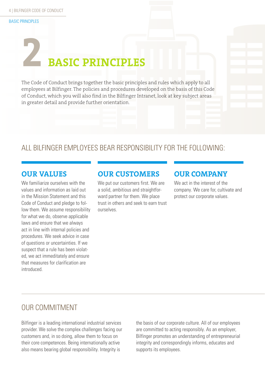#### BASIC PRINCIPLES

## **2 BASIC PRINCIPLES**

The Code of Conduct brings together the basic principles and rules which apply to all employees at Bilfinger. The policies and procedures developed on the basis of this Code of Conduct, which you will also find in the Bilfinger Intranet, look at key subject areas in greater detail and provide further orientation.

#### ALL BILFINGER EMPLOYEES BEAR RESPONSIBILITY FOR THE FOLLOWING:

#### **OUR VALUES**

We familiarize ourselves with the values and information as laid out in the Mission Statement and this Code of Conduct and pledge to follow them. We assume responsibility for what we do, observe applicable laws and ensure that we always act in line with internal policies and procedures. We seek advice in case of questions or uncertainties. If we suspect that a rule has been violated, we act immeditately and ensure that measures for clarification are introduced.

#### **OUR CUSTOMERS**

We put our customers first. We are a solid, ambitious and straightforward partner for them. We place trust in others and seek to earn trust ourselves.

#### **OUR COMPANY**

We act in the interest of the company. We care for, cultivate and protect our corporate values.

#### OUR COMMITMENT

Bilfinger is a leading international industrial services provider. We solve the complex challenges facing our customers and, in so doing, allow them to focus on their core competences. Being internationally active also means bearing global responsibility. Integrity is

the basis of our corporate culture. All of our employees are committed to acting responsibly. As an employer, Bilfinger promotes an understanding of entrepreneurial integrity and correspondingly informs, educates and supports its employees.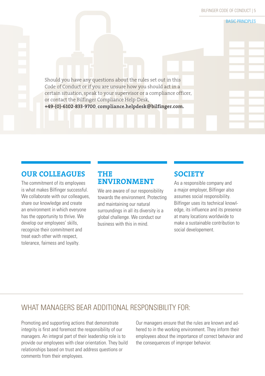BILFINGER CODE OF CONDUCT | 5

**BASIC PRINCIPLES** 

Should you have any questions about the rules set out in this Code of Conduct or if you are unsure how you should act in a certain situation, speak to your supervisor or a compliance officer, or contact the Bilfinger Compliance Help-Desk, **+49-(0)-6102-833-9700**, **compliance.helpdesk@bilfinger.com.**

#### **OUR COLLEAGUES**

The commitment of its employees is what makes Bilfinger successful. We collaborate with our colleagues. share our knowledge and create an environment in which everyone has the opportunity to thrive. We develop our employees' skills, recognize their commitment and treat each other with respect, tolerance, fairness and loyalty.

#### **THE ENVIRONMENT**

We are aware of our responsibility towards the environment. Protecting and maintaining our natural surroundings in all its diversity is a global challenge. We conduct our business with this in mind.

#### **SOCIETY**

As a responsible company and a major employer, Bilfinger also assumes social responsibility. Bilfinger uses its technical knowledge, its influence and its presence at many locations worldwide to make a sustainable contribution to social developement.

#### WHAT MANAGERS BEAR ADDITIONAL RESPONSIBILITY FOR:

Promoting and supporting actions that demonstrate integrity is first and foremost the responsibility of our managers. An integral part of their leadership role is to provide our employees with clear orientation. They build relationships based on trust and address questions or comments from their employees.

Our managers ensure that the rules are known and adhered to in the working environment. They inform their employees about the importance of correct behavior and the consequences of improper behavior.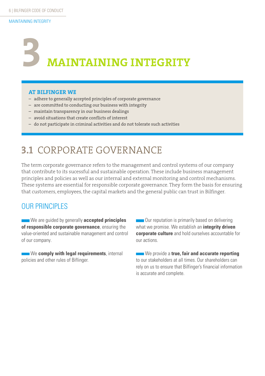## **MAINTAINING INTEGRITY 3**

#### **AT BILFINGER WE**

- adhere to generally accepted principles of corporate governance
- are committed to conducting our business with integrity
- maintain transparency in our business dealings
- avoid situations that create conflicts of interest
- do not participate in criminal activities and do not tolerate such activities

## **3.1** CORPORATE GOVERNANCE

The term corporate governance refers to the management and control systems of our company that contribute to its sucessful and sustainable operation. These include business management principles and policies as well as our internal and external monitoring and control mechanisms. These systems are essential for responsible corporate governance. They form the basis for ensuring that customers, employees, the capital markets and the general public can trust in Bilfinger.

#### **OUR PRINCIPLES**

We are quided by generally **accepted principles of responsible corporate governance**, ensuring the value-oriented and sustainable management and control of our company.

**We comply with legal requirements**, internal policies and other rules of Biflinger.

**Curation is primarily based on delivering** what we promise. We establish an **integrity driven corporate culture** and hold ourselves accountable for our actions.

**We provide a true, fair and accurate reporting** to our stakeholders at all times. Our shareholders can rely on us to ensure that Bilfinger's financial information is accurate and complete.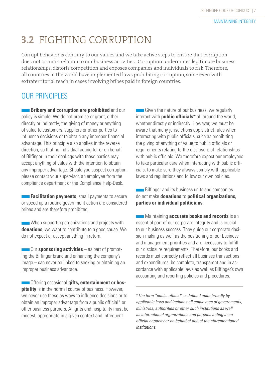## **3.2** FIGHTING CORRUPTION

Corrupt behavior is contrary to our values and we take active steps to ensure that corruption does not occur in relation to our business activities. Corruption undermines legitimate business relationships, distorts competition and exposes companies and individuals to risk. Therefore, all countries in the world have implemented laws prohibiting corruption, some even with extraterritorial reach in cases involving bribes paid in foreign countries.

#### **OUR PRINCIPLES**

**Bribery and corruption are prohibited** and our policy is simple: We do not promise or grant, either directly or indirectly, the giving of money or anything of value to customers, suppliers or other parties to influence decisions or to obtain any improper financial advantage. This principle also applies in the reverse direction, so that no individual acting for or on behalf of Bilfinger in their dealings with those parties may accept anything of value with the intention to obtain any improper advantage. Should you suspect corruption, please contact your supervisor, an employee from the compliance department or the Compliance Help-Desk.

**Facilitation payments**, small payments to secure or speed up a routine government action are considered bribes and are therefore prohibited.

When supporting organizations and projects with **donations**, we want to contribute to a good cause. We do not expect or accept anything in return.

Our **sponsoring activities** – as part of promoting the Bilfinger brand and enhancing the company's image – can never be linked to seeking or obtaining an improper business advantage.

**Contract Offering occasional gifts, entertainment or hospitality** is in the normal course of business. However, we never use these as ways to influence decisions or to obtain an improper advantage from a public official\* or other business partners. All gifts and hospitality must be modest, appropriate in a given context and infrequent.

Given the nature of our business, we regularly interact with **public officials\*** all around the world, whether directly or indirectly. However, we must be aware that many jurisdictions apply strict rules when interacting with public officials, such as prohibiting the giving of anything of value to public officials or requirements relating to the disclosure of relationships with public officials. We therefore expect our employees to take particular care when interacting with public officials, to make sure they always comply with applicable laws and regulations and follow our own policies.

**Bilfinger and its business units and companies** do not make **donations** to **political organizations, parties or individual politicians**.

**Maintaining accurate books and records** is an essential part of our corporate integrity and is crucial to our business success. They guide our corporate decision-making as well as the positioning of our business and management priorities and are necessary to fulfill our disclosure requirements. Therefore, our books and records must correctly reflect all business transactions and expenditures, be complete, transparent and in accordance with applicable laws as well as Bilfinger's own accounting and reporting policies and procedures.

*\*The term "public official" is defined quite broadly by applicable laws and includes all employees of governments, ministries, authorities or other such institutions as well as international organizations and persons acting in an official capacity or on behalf of one of the aforementioned institutions.*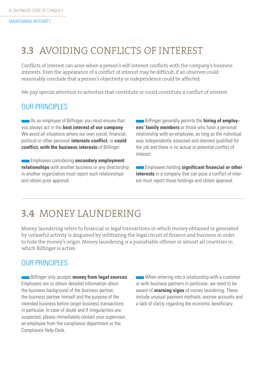## **3.3** AVOIDING CONFLICTS OF INTEREST

Conflicts of interest can arise when a person's self-interest conflicts with the company's business interests. Even the appearance of a conflict of interest may be difficult, if an observer could reasonably conclude that a person's objectivity or independence could be affected.

We pay special attention to activities that constitute or could constitute a conflict of interest.

#### **OUR PRINCIPLES**

**As an employee of Bilfinger, you must ensure that** you always act in the **best interest of our company**. We avoid all situations where our own social, financial, political or other personal **interests conflict**, or **could conflict, with the business interests** of Bilfinger.

**Employees considering secondary employment relationships** with another business or any directorship in another organization must report such relationships and obtain prior approval.

**EXECUTE:** Bilfinger generally permits the **hiring of employees' family members** or those who have a personal relationship with an employee, as long as the individual was independently assessed and deemed qualified for the job and there is no actual or potential conflict of interest.

**Employees holding significant financial or other interests** in a company that can pose a conflict of interest must report those holdings and obtain approval.

## **3.4** MONEY LAUNDERING

Money laundering refers to financial or legal transactions in which money obtained or generated by unlawful activity is disguised by infiltrating the legal circuit of finance and business in order to hide the money's origin. Money laundering is a punishable offense in almost all countries in which Bilfinger is active.

#### OUR PRINCIPLES

**Bilfinger only accepts money from legal sources.** Employees are to obtain detailed information about the business background of the business partner. the business partner himself and the purpose of the intended business before larger business transactions in particular. In case of doubt and if irregularities are suspected, please immediately contact your supervisor, an employee from the compliance department or the Compliance Help-Desk.

When entering into a relationship with a customer or with business partners in particular, we need to be aware of **warning signs** of money laundering. These include unusual payment methods, escrow accounts and a lack of clarity regarding the economic beneficiary.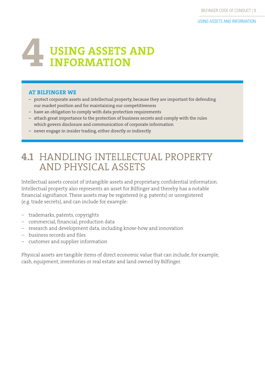## **USING ASSETS AND 4 INFORMATION**

#### **AT BILFINGER WE**

- protect corporate assets and intellectual property, because they are important for defending our market position and for maintaining our competitiveness
- have an obligation to comply with data protection requirements
- attach great importance to the protection of business secrets and comply with the rules which govern disclosure and communication of corporate information
- never engage in insider trading, either directly or indirectly

## **4.1** HANDLING INTELLECTUAL PROPERTY AND PHYSICAL ASSETS

Intellectual assets consist of intangible assets and proprietary, confidential information. Intellectual property also represents an asset for Bilfinger and thereby has a notable financial signifiance. These assets may be registered (e.g. patents) or unregistered (e.g. trade secrets), and can include for example:

- − trademarks, patents, copyrights
- − commercial, financial, production data
- − research and development data, including know-how and innovation
- − business records and files
- − customer and supplier information

Physical assets are tangible items of direct economic value that can include, for example, cash, equipment, inventories or real estate and land owned by Bilfinger.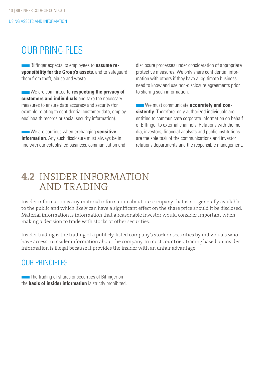## **OUR PRINCIPLES**

**Bilfinger expects its employees to assume responsibility for the Group's assets**, and to safeguard them from theft, abuse and waste.

We are committed to **respecting the privacy of customers and individuals** and take the necessary measures to ensure data accuracy and security (for example relating to confidential customer data, employees' health records or social security information).

**We are cautious when exchanging sensitive information**. Any such disclosure must always be in line with our established business, communication and disclosure processes under consideration of appropriate protective measures. We only share confidential information with others if they have a legitimate business need to know and use non-disclosure agreements prior to sharing such information.

**We must communicate accurately and consistently**. Therefore, only authorized individuals are entitled to communicate corporate information on behalf of Bilfinger to external channels. Relations with the media, investors, financial analysts and public institutions are the sole task of the communications and investor relations departments and the responsible management.

### **4.2** INSIDER INFORMATION AND TRADING

Insider information is any material information about our company that is not generally available to the public and which likely can have a significant effect on the share price should it be disclosed. Material information is information that a reasonable investor would consider important when making a decision to trade with stocks or other securities.

Insider trading is the trading of a publicly-listed company's stock or securities by individuals who have access to insider information about the company. In most countries, trading based on insider information is illegal because it provides the insider with an unfair advantage.

#### **OUR PRINCIPLES**

The trading of shares or securities of Bilfinger on the **basis of insider information** is strictly prohibited.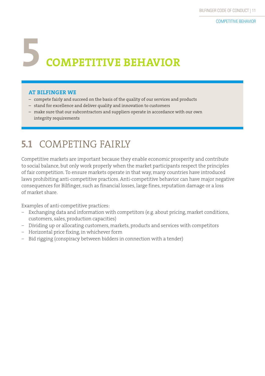## **5 COMPETITIVE BEHAVIOR**

#### **AT BILFINGER WE**

- compete fairly and succeed on the basis of the quality of our services and products
- stand for excellence and deliver quality and innovation to customers
- make sure that our subcontractors and suppliers operate in accordance with our own integrity requirements

## **5.1** COMPETING FAIRLY

Competitive markets are important because they enable economic prosperity and contribute to social balance, but only work properly when the market participants respect the principles of fair competition. To ensure markets operate in that way, many countries have introduced laws prohibiting anti-competitive practices. Anti-competitive behavior can have major negative consequences for Bilfinger, such as financial losses, large fines, reputation damage or a loss of market share.

Examples of anti-competitive practices:

- − Exchanging data and information with competitors (e.g. about pricing, market conditions, customers, sales, production capacities)
- − Dividing up or allocating customers, markets, products and services with competitors
- − Horizontal price fixing, in whichever form
- − Bid rigging (conspiracy between bidders in connection with a tender)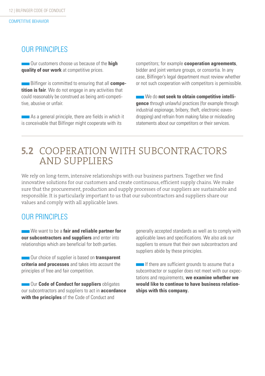#### OUR PRINCIPLES

Our customers choose us because of the **high quality of our work** at competitive prices.

**Bilfinger is committed to ensuring that all competition is fair**. We do not engage in any activities that could reasonably be construed as being anti-competitive, abusive or unfair.

**As a general principle, there are fields in which it** is conceivable that Bilfinger might cooperate with its

competitors; for example **cooperation agreements**, bidder and joint venture groups, or consortia. In any case, Bilfinger's legal department must review whether or not such cooperation with competitors is permissible.

**We do not seek to obtain competitive intelligence** through unlawful practices (for example through industrial espionage, bribery, theft, electronic eavesdropping) and refrain from making false or misleading statements about our competitors or their services.

### **5.2** COOPERATION WITH SUBCONTRACTORS AND SUPPLIERS

We rely on long-term, intensive relationships with our business partners. Together we find innovative solutions for our customers and create continuous, efficient supply chains. We make sure that the procurement, production and supply processes of our suppliers are sustainable and responsible. It is particularly important to us that our subcontractors and suppliers share our values and comply with all applicable laws.

#### **OUR PRINCIPLES**

**We want to be a fair and reliable partner for our subcontractors and suppliers** and enter into relationships which are beneficial for both parties.

**COUT CHOICE OF SUPPLIER IS based on transparent criteria and processes** and takes into account the principles of free and fair competition.

**COME Code of Conduct for suppliers** obligates our subcontractors and suppliers to act in **accordance with the principles** of the Code of Conduct and

generally accepted standards as well as to comply with applicable laws and specifications. We also ask our suppliers to ensure that their own subcontractors and suppliers abide by these principles.

If there are sufficient grounds to assume that a subcontractor or supplier does not meet with our expectations and requirements, **we examine whether we would like to continue to have business relationships with this company.**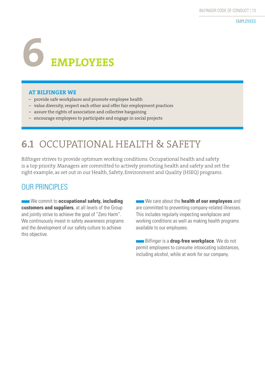# **6EMPLOYEES**

#### **AT BILFINGER WE**

- provide safe workplaces and promote employee health
- value diversity, respect each other and offer fair employment practices
- assure the rights of association and collective bargaining
- encourage employees to participate and engage in social projects

## **6.1** OCCUPATIONAL HEALTH & SAFETY

Bilfinger strives to provide optimum working conditions. Occupational health and safety is a top priority. Managers are committed to actively promoting health and safety and set the right example, as set out in our Health, Safety, Environment and Quality (HSEQ) programs.

#### **OUR PRINCIPLES**

**We commit to occupational safety, including customers and suppliers**, at all levels of the Group and jointly strive to achieve the goal of "Zero Harm". We continuously invest in safety awareness programs and the development of our safety culture to achieve this objective.

**We care about the health of our employees** and are committed to preventing company-related illnesses. This includes regularly inspecting workplaces and working conditions as well as making health programs available to our employees.

**Bilfinger is a drug-free workplace**. We do not permit employees to consume intoxicating substances, including alcohol, while at work for our company.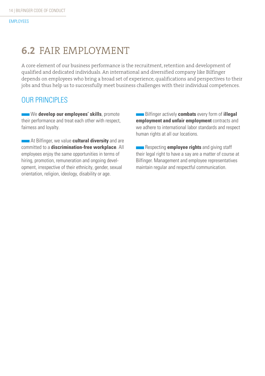## **6.2** FAIR EMPLOYMENT

A core element of our business performance is the recruitment, retention and development of qualified and dedicated individuals. An international and diversified company like Bilfinger depends on employees who bring a broad set of experience, qualifications and perspectives to their jobs and thus help us to successfully meet business challenges with their individual competences.

#### OUR PRINCIPLES

We develop our employees' skills, promote their performance and treat each other with respect, fairness and loyalty.

**At Bilfinger, we value cultural diversity** and are committed to a **discrimination-free workplace**. All employees enjoy the same opportunities in terms of hiring, promotion, remuneration and ongoing development, irrespective of their ethnicity, gender, sexual orientation, religion, ideology, disability or age.

Bilfinger actively **combats** every form of **illegal employment and unfair employment** contracts and we adhere to international labor standards and respect human rights at all our locations.

**Respecting employee rights** and giving staff their legal right to have a say are a matter of course at Bilfinger. Management and employee representatives maintain regular and respectful communication.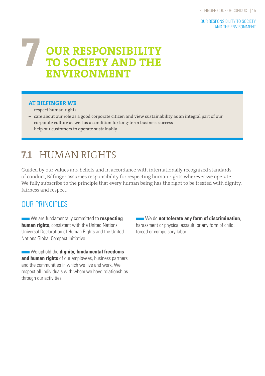## **OUR RESPONSIBILITY TO SOCIETY AND THE ENVIRONMENT 7**

#### **AT BILFINGER WE**

- respect human rights
- care about our role as a good corporate citizen and view sustainability as an integral part of our corporate culture as well as a condition for long-term business success
- help our customers to operate sustainably

## **7.1** HUMAN RIGHTS

Guided by our values and beliefs and in accordance with internationally recognized standards of conduct, Bilfinger assumes responsibility for respecting human rights wherever we operate. We fully subscribe to the principle that every human being has the right to be treated with dignity, fairness and respect.

#### **OUR PRINCIPLES**

**We are fundamentally committed to respecting human rights**, consistent with the United Nations Universal Declaration of Human Rights and the United Nations Global Compact Initiative.

**We uphold the dignity, fundamental freedoms and human rights** of our employees, business partners and the communities in which we live and work. We respect all individuals with whom we have relationships through our activities.

**We do not tolerate any form of discrimination**, harassment or physical assault, or any form of child, forced or compulsory labor.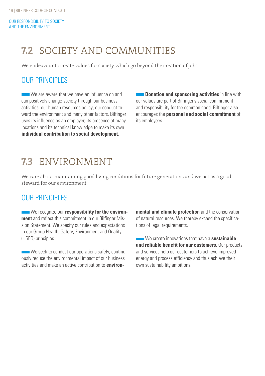OUR RESPONSIBILITY TO SOCIETY AND THE ENVIRONMENT

## **7.2** SOCIETY AND COMMUNITIES

We endeavour to create values for society which go beyond the creation of jobs.

#### **OUR PRINCIPLES**

We are aware that we have an influence on and can positively change society through our business activities, our human resources policy, our conduct toward the environment and many other factors. Bilfinger uses its influence as an employer, its presence at many locations and its technical knowledge to make its own **individual contribution to social development**.

**Donation and sponsoring activities** in line with our values are part of Bilfinger's social commitment and responsibility for the common good. Bilfinger also encourages the **personal and social commitment** of its employees.

## **7.3** ENVIRONMENT

We care about maintaining good living conditions for future generations and we act as a good steward for our environment.

#### **OUR PRINCIPLES**

**We recognize our responsibility for the environment** and reflect this commitment in our Bilfinger Mission Statement. We specify our rules and expectations in our Group Health, Safety, Environment and Quality (HSEQ) principles.

We seek to conduct our operations safely, continuously reduce the environmental impact of our business activities and make an active contribution to **environ-** **mental and climate protection** and the conservation of natural resources. We thereby exceed the specifications of legal requirements.

We create innovations that have a **sustainable and reliable benefit for our customers**. Our products and services help our customers to achieve improved energy and process efficiency and thus achieve their own sustainability ambitions.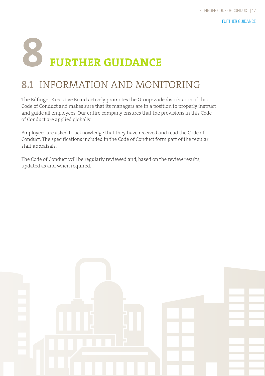# **8 FURTHER GUIDANCE**

## **8.1** INFORMATION AND MONITORING

The Bilfinger Executive Board actively promotes the Group-wide distribution of this Code of Conduct and makes sure that its managers are in a position to properly instruct and guide all employees. Our entire company ensures that the provisions in this Code of Conduct are applied globally.

Employees are asked to acknowledge that they have received and read the Code of Conduct. The specifications included in the Code of Conduct form part of the regular staff appraisals.

The Code of Conduct will be regularly reviewed and, based on the review results, updated as and when required.

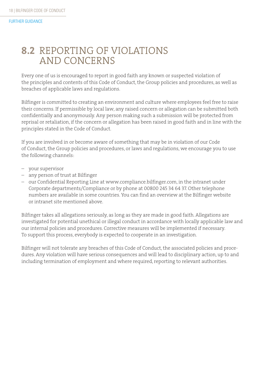### **8.2** REPORTING OF VIOLATIONS AND CONCERNS

Every one of us is encouraged to report in good faith any known or suspected violation of the principles and contents of this Code of Conduct, the Group policies and procedures, as well as breaches of applicable laws and regulations.

Bilfinger is committed to creating an environment and culture where employees feel free to raise their concerns. If permissible by local law, any raised concern or allegation can be submitted both confidentially and anonymously. Any person making such a submission will be protected from reprisal or retaliation, if the concern or allegation has been raised in good faith and in line with the principles stated in the Code of Conduct.

If you are involved in or become aware of something that may be in violation of our Code of Conduct, the Group policies and procedures, or laws and regulations, we encourage you to use the following channels:

- your supervisor
- any person of trust at Bilfinger
- our Confidential Reporting Line at www.compliance.bilfinger.com, in the intranet under Corporate departments/Compliance or by phone at 00800 245 34 64 37. Other telephone numbers are available in some countries. You can find an overview at the Bilfinger website or intranet site mentioned above.

Bilfinger takes all allegations seriously, as long as they are made in good faith. Allegations are investigated for potential unethical or illegal conduct in accordance with locally applicable law and our internal policies and procedures. Corrective measures will be implemented if necessary. To support this process, everybody is expected to cooperate in an investigation.

Bilfinger will not tolerate any breaches of this Code of Conduct, the associated policies and procedures. Any violation will have serious consequences and will lead to disciplinary action, up to and including termination of employment and where required, reporting to relevant authorities.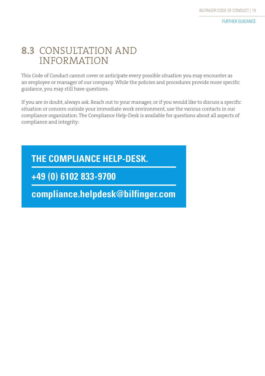### **8.3** CONSULTATION AND INFORMATION

This Code of Conduct cannot cover or anticipate every possible situation you may encounter as an employee or manager of our company. While the policies and procedures provide more specific guidance, you may still have questions.

If you are in doubt, always ask. Reach out to your manager, or if you would like to discuss a specific situation or concern outside your immediate work environment, use the various contacts in our compliance organization. The Compliance Help-Desk is available for questions about all aspects of compliance and integrity:

### **THE COMPLIANCE HELP-DESK.**

**+49 (0) 6102 833-9700**

**compliance.helpdesk@bilfinger.com**